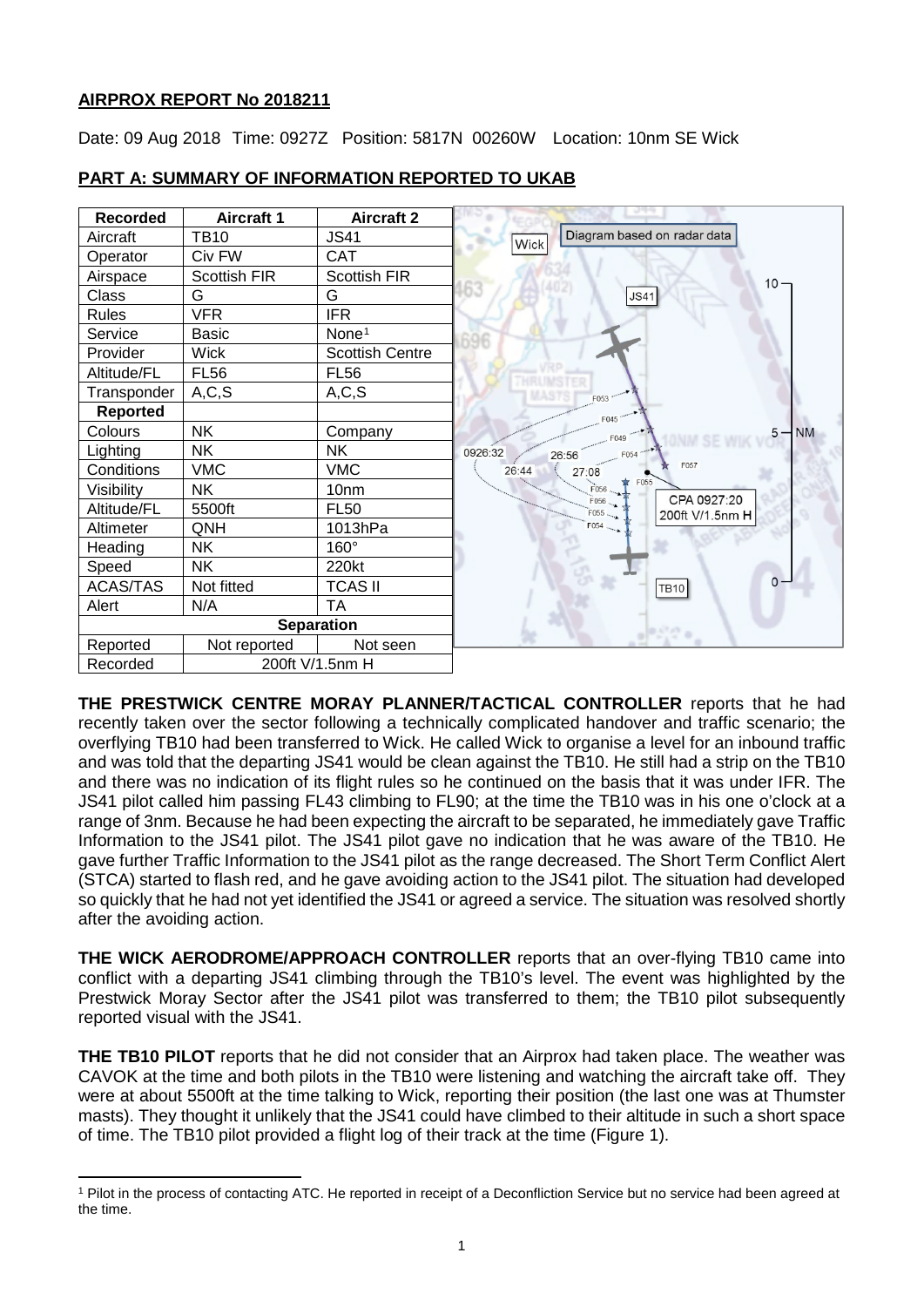# **AIRPROX REPORT No 2018211**

Date: 09 Aug 2018 Time: 0927Z Position: 5817N 00260W Location: 10nm SE Wick



# **PART A: SUMMARY OF INFORMATION REPORTED TO UKAB**

**THE PRESTWICK CENTRE MORAY PLANNER/TACTICAL CONTROLLER** reports that he had recently taken over the sector following a technically complicated handover and traffic scenario; the overflying TB10 had been transferred to Wick. He called Wick to organise a level for an inbound traffic and was told that the departing JS41 would be clean against the TB10. He still had a strip on the TB10 and there was no indication of its flight rules so he continued on the basis that it was under IFR. The JS41 pilot called him passing FL43 climbing to FL90; at the time the TB10 was in his one o'clock at a range of 3nm. Because he had been expecting the aircraft to be separated, he immediately gave Traffic Information to the JS41 pilot. The JS41 pilot gave no indication that he was aware of the TB10. He gave further Traffic Information to the JS41 pilot as the range decreased. The Short Term Conflict Alert (STCA) started to flash red, and he gave avoiding action to the JS41 pilot. The situation had developed so quickly that he had not yet identified the JS41 or agreed a service. The situation was resolved shortly after the avoiding action.

**THE WICK AERODROME/APPROACH CONTROLLER** reports that an over-flying TB10 came into conflict with a departing JS41 climbing through the TB10's level. The event was highlighted by the Prestwick Moray Sector after the JS41 pilot was transferred to them; the TB10 pilot subsequently reported visual with the JS41.

**THE TB10 PILOT** reports that he did not consider that an Airprox had taken place. The weather was CAVOK at the time and both pilots in the TB10 were listening and watching the aircraft take off. They were at about 5500ft at the time talking to Wick, reporting their position (the last one was at Thumster masts). They thought it unlikely that the JS41 could have climbed to their altitude in such a short space of time. The TB10 pilot provided a flight log of their track at the time (Figure 1).

<span id="page-0-0"></span>l <sup>1</sup> Pilot in the process of contacting ATC. He reported in receipt of a Deconfliction Service but no service had been agreed at the time.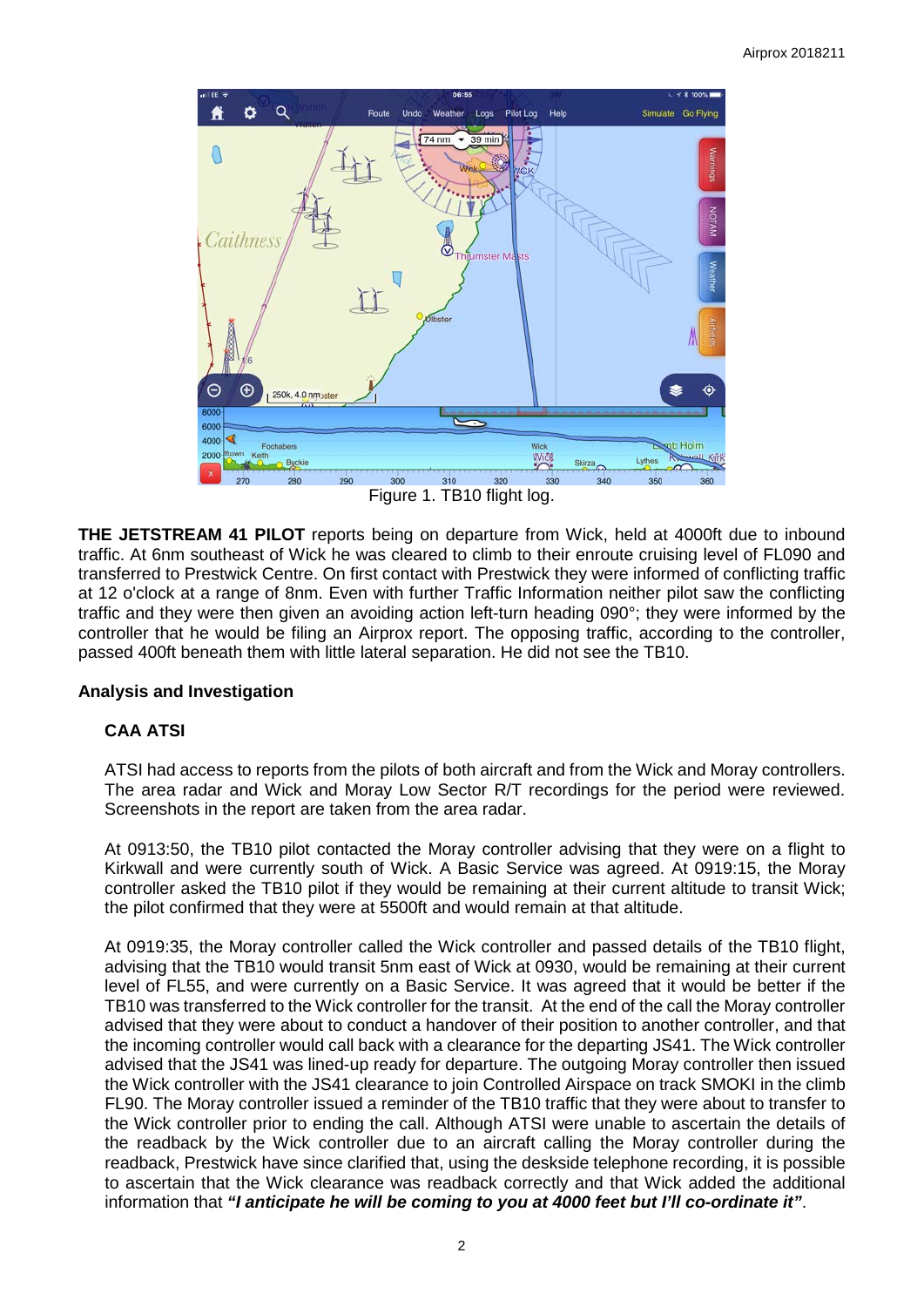

Figure 1. TB10 flight log.

**THE JETSTREAM 41 PILOT** reports being on departure from Wick, held at 4000ft due to inbound traffic. At 6nm southeast of Wick he was cleared to climb to their enroute cruising level of FL090 and transferred to Prestwick Centre. On first contact with Prestwick they were informed of conflicting traffic at 12 o'clock at a range of 8nm. Even with further Traffic Information neither pilot saw the conflicting traffic and they were then given an avoiding action left-turn heading 090°; they were informed by the controller that he would be filing an Airprox report. The opposing traffic, according to the controller, passed 400ft beneath them with little lateral separation. He did not see the TB10.

# **Analysis and Investigation**

# **CAA ATSI**

ATSI had access to reports from the pilots of both aircraft and from the Wick and Moray controllers. The area radar and Wick and Moray Low Sector R/T recordings for the period were reviewed. Screenshots in the report are taken from the area radar.

At 0913:50, the TB10 pilot contacted the Moray controller advising that they were on a flight to Kirkwall and were currently south of Wick. A Basic Service was agreed. At 0919:15, the Moray controller asked the TB10 pilot if they would be remaining at their current altitude to transit Wick; the pilot confirmed that they were at 5500ft and would remain at that altitude.

At 0919:35, the Moray controller called the Wick controller and passed details of the TB10 flight, advising that the TB10 would transit 5nm east of Wick at 0930, would be remaining at their current level of FL55, and were currently on a Basic Service. It was agreed that it would be better if the TB10 was transferred to the Wick controller for the transit. At the end of the call the Moray controller advised that they were about to conduct a handover of their position to another controller, and that the incoming controller would call back with a clearance for the departing JS41. The Wick controller advised that the JS41 was lined-up ready for departure. The outgoing Moray controller then issued the Wick controller with the JS41 clearance to join Controlled Airspace on track SMOKI in the climb FL90. The Moray controller issued a reminder of the TB10 traffic that they were about to transfer to the Wick controller prior to ending the call. Although ATSI were unable to ascertain the details of the readback by the Wick controller due to an aircraft calling the Moray controller during the readback, Prestwick have since clarified that, using the deskside telephone recording, it is possible to ascertain that the Wick clearance was readback correctly and that Wick added the additional information that *"I anticipate he will be coming to you at 4000 feet but I'll co-ordinate it"*.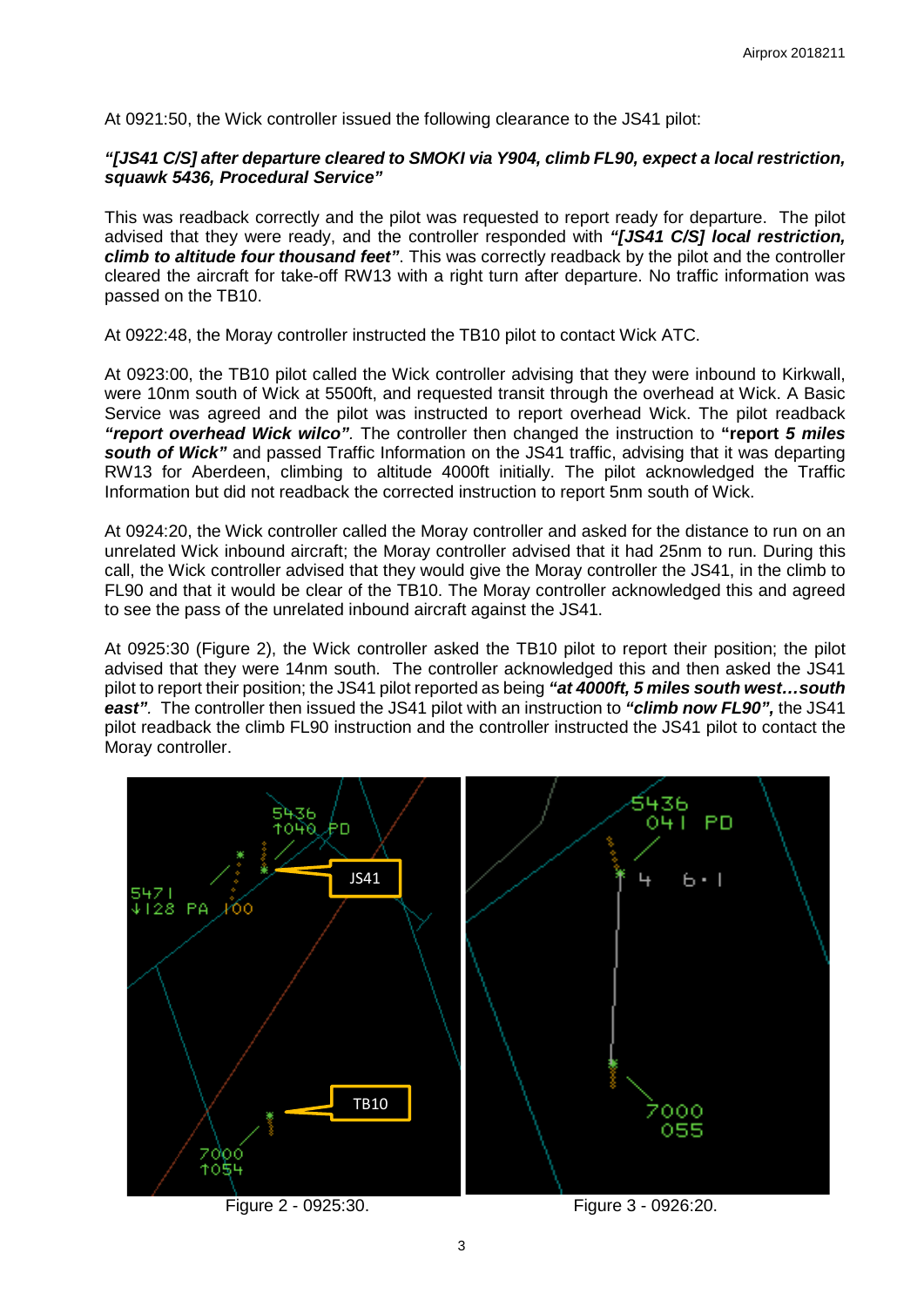At 0921:50, the Wick controller issued the following clearance to the JS41 pilot:

## *"[JS41 C/S] after departure cleared to SMOKI via Y904, climb FL90, expect a local restriction, squawk 5436, Procedural Service"*

This was readback correctly and the pilot was requested to report ready for departure. The pilot advised that they were ready, and the controller responded with *"[JS41 C/S] local restriction, climb to altitude four thousand feet"*. This was correctly readback by the pilot and the controller cleared the aircraft for take-off RW13 with a right turn after departure. No traffic information was passed on the TB10.

At 0922:48, the Moray controller instructed the TB10 pilot to contact Wick ATC.

At 0923:00, the TB10 pilot called the Wick controller advising that they were inbound to Kirkwall, were 10nm south of Wick at 5500ft, and requested transit through the overhead at Wick. A Basic Service was agreed and the pilot was instructed to report overhead Wick. The pilot readback *"report overhead Wick wilco".* The controller then changed the instruction to **"report** *5 miles south of Wick"* and passed Traffic Information on the JS41 traffic, advising that it was departing RW13 for Aberdeen, climbing to altitude 4000ft initially. The pilot acknowledged the Traffic Information but did not readback the corrected instruction to report 5nm south of Wick.

At 0924:20, the Wick controller called the Moray controller and asked for the distance to run on an unrelated Wick inbound aircraft; the Moray controller advised that it had 25nm to run. During this call, the Wick controller advised that they would give the Moray controller the JS41, in the climb to FL90 and that it would be clear of the TB10. The Moray controller acknowledged this and agreed to see the pass of the unrelated inbound aircraft against the JS41.

At 0925:30 (Figure 2), the Wick controller asked the TB10 pilot to report their position; the pilot advised that they were 14nm south. The controller acknowledged this and then asked the JS41 pilot to report their position; the JS41 pilot reported as being *"at 4000ft, 5 miles south west…south east".* The controller then issued the JS41 pilot with an instruction to *"climb now FL90",* the JS41 pilot readback the climb FL90 instruction and the controller instructed the JS41 pilot to contact the Moray controller.

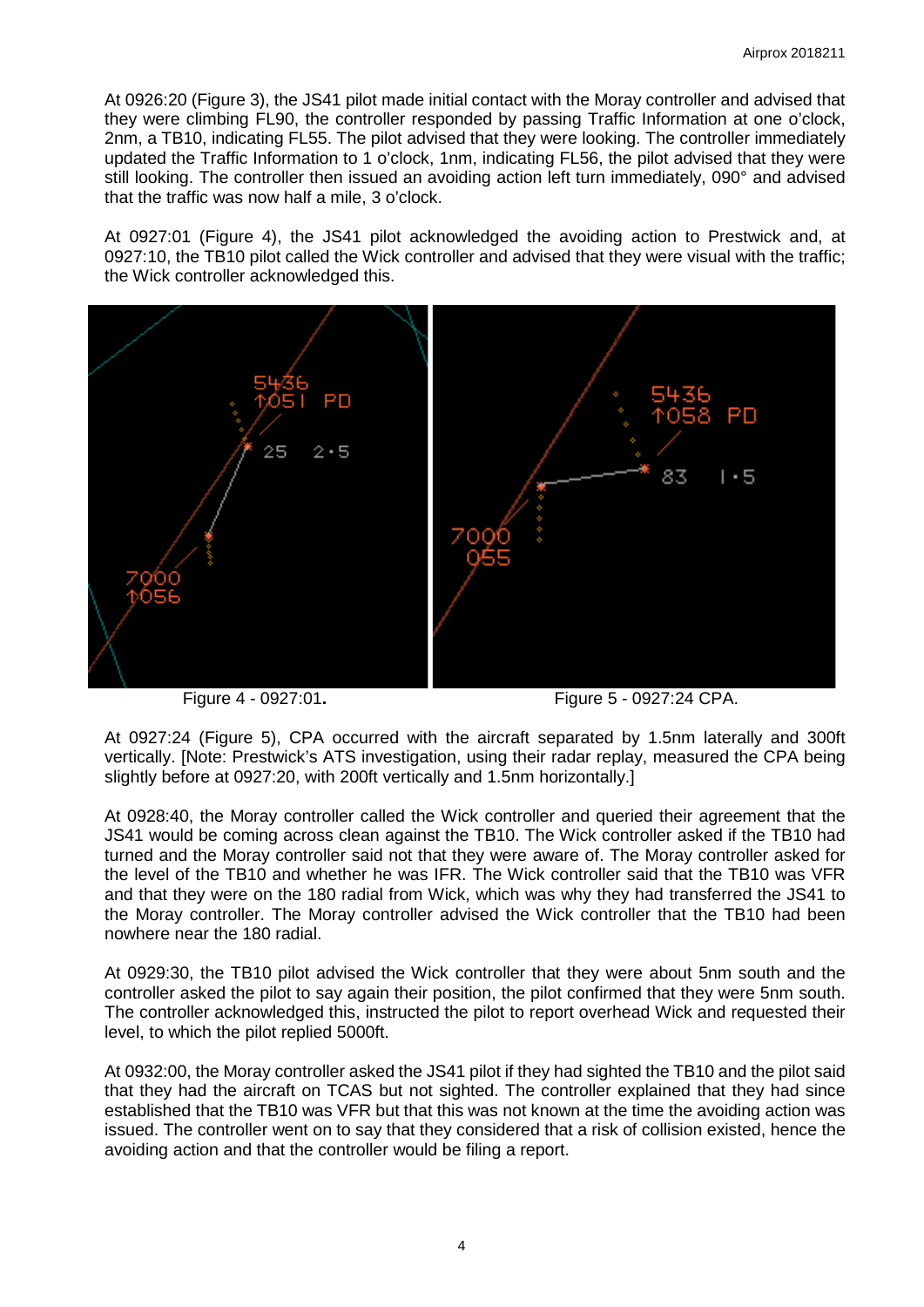At 0926:20 (Figure 3), the JS41 pilot made initial contact with the Moray controller and advised that they were climbing FL90, the controller responded by passing Traffic Information at one o'clock, 2nm, a TB10, indicating FL55. The pilot advised that they were looking. The controller immediately updated the Traffic Information to 1 o'clock, 1nm, indicating FL56, the pilot advised that they were still looking. The controller then issued an avoiding action left turn immediately, 090° and advised that the traffic was now half a mile, 3 o'clock.

At 0927:01 (Figure 4), the JS41 pilot acknowledged the avoiding action to Prestwick and, at 0927:10, the TB10 pilot called the Wick controller and advised that they were visual with the traffic; the Wick controller acknowledged this.



Figure 4 - 0927:01**.** Figure 5 - 0927:24 CPA.

At 0927:24 (Figure 5), CPA occurred with the aircraft separated by 1.5nm laterally and 300ft vertically. [Note: Prestwick's ATS investigation, using their radar replay, measured the CPA being slightly before at 0927:20, with 200ft vertically and 1.5nm horizontally.]

At 0928:40, the Moray controller called the Wick controller and queried their agreement that the JS41 would be coming across clean against the TB10. The Wick controller asked if the TB10 had turned and the Moray controller said not that they were aware of. The Moray controller asked for the level of the TB10 and whether he was IFR. The Wick controller said that the TB10 was VFR and that they were on the 180 radial from Wick, which was why they had transferred the JS41 to the Moray controller. The Moray controller advised the Wick controller that the TB10 had been nowhere near the 180 radial.

At 0929:30, the TB10 pilot advised the Wick controller that they were about 5nm south and the controller asked the pilot to say again their position, the pilot confirmed that they were 5nm south. The controller acknowledged this, instructed the pilot to report overhead Wick and requested their level, to which the pilot replied 5000ft.

At 0932:00, the Moray controller asked the JS41 pilot if they had sighted the TB10 and the pilot said that they had the aircraft on TCAS but not sighted. The controller explained that they had since established that the TB10 was VFR but that this was not known at the time the avoiding action was issued. The controller went on to say that they considered that a risk of collision existed, hence the avoiding action and that the controller would be filing a report.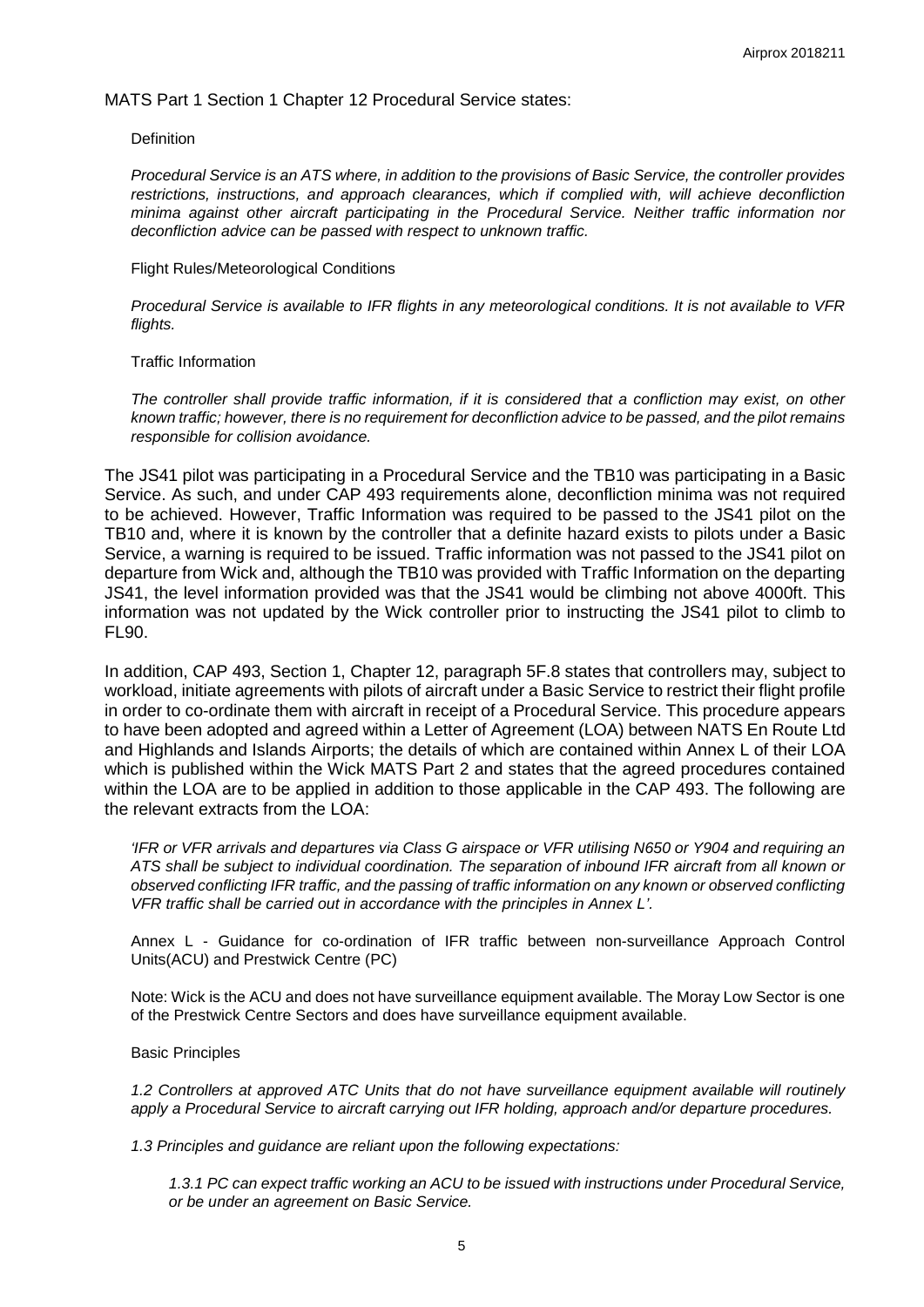MATS Part 1 Section 1 Chapter 12 Procedural Service states:

### **Definition**

*Procedural Service is an ATS where, in addition to the provisions of Basic Service, the controller provides restrictions, instructions, and approach clearances, which if complied with, will achieve deconfliction minima against other aircraft participating in the Procedural Service. Neither traffic information nor deconfliction advice can be passed with respect to unknown traffic.* 

### Flight Rules/Meteorological Conditions

*Procedural Service is available to IFR flights in any meteorological conditions. It is not available to VFR flights.*

### Traffic Information

*The controller shall provide traffic information, if it is considered that a confliction may exist, on other known traffic; however, there is no requirement for deconfliction advice to be passed, and the pilot remains responsible for collision avoidance.* 

The JS41 pilot was participating in a Procedural Service and the TB10 was participating in a Basic Service. As such, and under CAP 493 requirements alone, deconfliction minima was not required to be achieved. However, Traffic Information was required to be passed to the JS41 pilot on the TB10 and, where it is known by the controller that a definite hazard exists to pilots under a Basic Service, a warning is required to be issued. Traffic information was not passed to the JS41 pilot on departure from Wick and, although the TB10 was provided with Traffic Information on the departing JS41, the level information provided was that the JS41 would be climbing not above 4000ft. This information was not updated by the Wick controller prior to instructing the JS41 pilot to climb to FL90.

In addition, CAP 493, Section 1, Chapter 12, paragraph 5F.8 states that controllers may, subject to workload, initiate agreements with pilots of aircraft under a Basic Service to restrict their flight profile in order to co-ordinate them with aircraft in receipt of a Procedural Service. This procedure appears to have been adopted and agreed within a Letter of Agreement (LOA) between NATS En Route Ltd and Highlands and Islands Airports; the details of which are contained within Annex L of their LOA which is published within the Wick MATS Part 2 and states that the agreed procedures contained within the LOA are to be applied in addition to those applicable in the CAP 493. The following are the relevant extracts from the LOA:

*'IFR or VFR arrivals and departures via Class G airspace or VFR utilising N650 or Y904 and requiring an ATS shall be subject to individual coordination. The separation of inbound IFR aircraft from all known or observed conflicting IFR traffic, and the passing of traffic information on any known or observed conflicting VFR traffic shall be carried out in accordance with the principles in Annex L'.*

Annex L - Guidance for co-ordination of IFR traffic between non-surveillance Approach Control Units(ACU) and Prestwick Centre (PC)

Note: Wick is the ACU and does not have surveillance equipment available. The Moray Low Sector is one of the Prestwick Centre Sectors and does have surveillance equipment available.

### Basic Principles

*1.2 Controllers at approved ATC Units that do not have surveillance equipment available will routinely apply a Procedural Service to aircraft carrying out IFR holding, approach and/or departure procedures.*

*1.3 Principles and guidance are reliant upon the following expectations:* 

*1.3.1 PC can expect traffic working an ACU to be issued with instructions under Procedural Service, or be under an agreement on Basic Service.*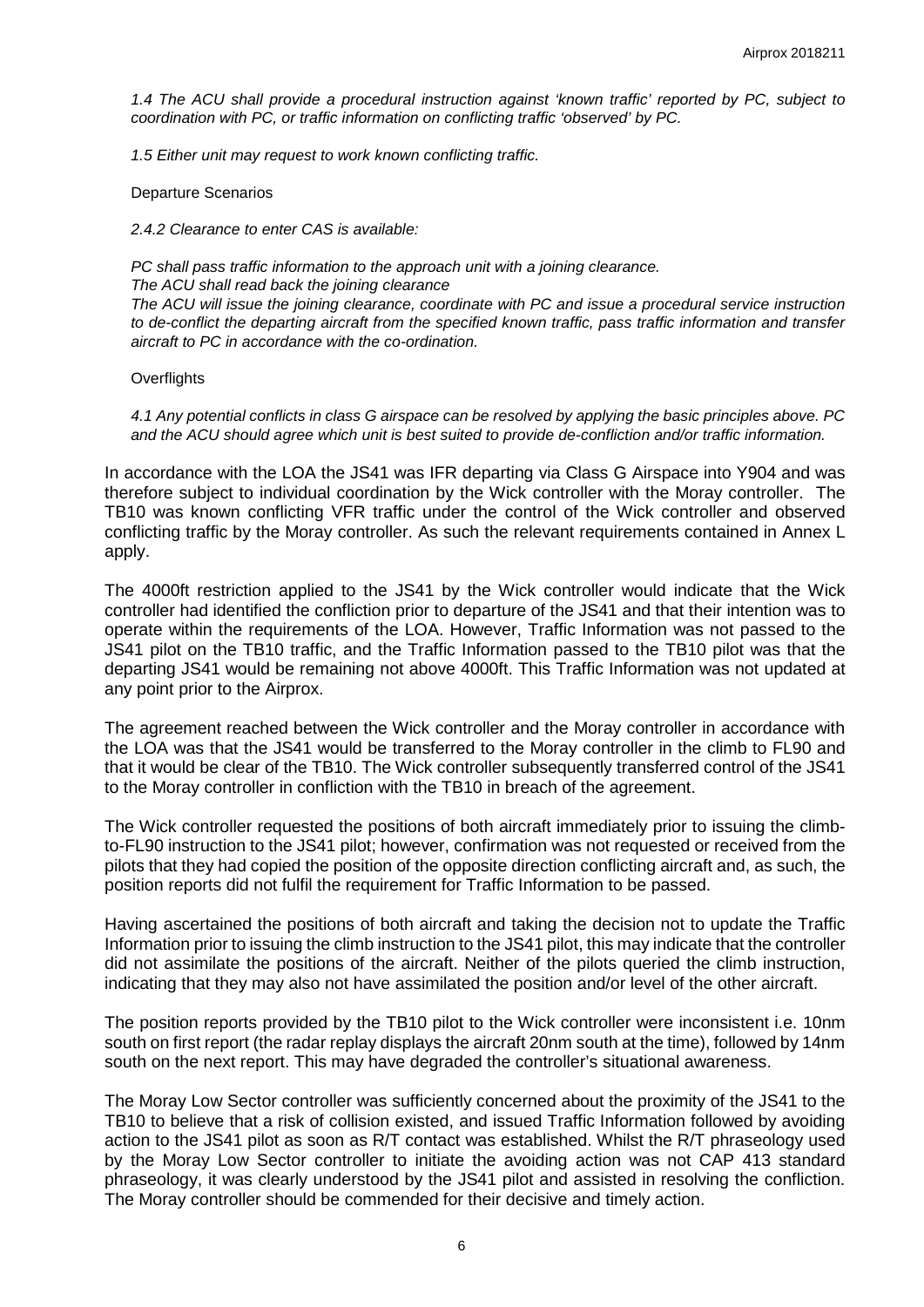*1.4 The ACU shall provide a procedural instruction against 'known traffic' reported by PC, subject to coordination with PC, or traffic information on conflicting traffic 'observed' by PC.* 

*1.5 Either unit may request to work known conflicting traffic.*

Departure Scenarios

*2.4.2 Clearance to enter CAS is available:*

*PC shall pass traffic information to the approach unit with a joining clearance. The ACU shall read back the joining clearance The ACU will issue the joining clearance, coordinate with PC and issue a procedural service instruction to de-conflict the departing aircraft from the specified known traffic, pass traffic information and transfer aircraft to PC in accordance with the co-ordination.*

#### **Overflights**

*4.1 Any potential conflicts in class G airspace can be resolved by applying the basic principles above. PC and the ACU should agree which unit is best suited to provide de-confliction and/or traffic information.*

In accordance with the LOA the JS41 was IFR departing via Class G Airspace into Y904 and was therefore subject to individual coordination by the Wick controller with the Moray controller. The TB10 was known conflicting VFR traffic under the control of the Wick controller and observed conflicting traffic by the Moray controller. As such the relevant requirements contained in Annex L apply.

The 4000ft restriction applied to the JS41 by the Wick controller would indicate that the Wick controller had identified the confliction prior to departure of the JS41 and that their intention was to operate within the requirements of the LOA. However, Traffic Information was not passed to the JS41 pilot on the TB10 traffic, and the Traffic Information passed to the TB10 pilot was that the departing JS41 would be remaining not above 4000ft. This Traffic Information was not updated at any point prior to the Airprox.

The agreement reached between the Wick controller and the Moray controller in accordance with the LOA was that the JS41 would be transferred to the Moray controller in the climb to FL90 and that it would be clear of the TB10. The Wick controller subsequently transferred control of the JS41 to the Moray controller in confliction with the TB10 in breach of the agreement.

The Wick controller requested the positions of both aircraft immediately prior to issuing the climbto-FL90 instruction to the JS41 pilot; however, confirmation was not requested or received from the pilots that they had copied the position of the opposite direction conflicting aircraft and, as such, the position reports did not fulfil the requirement for Traffic Information to be passed.

Having ascertained the positions of both aircraft and taking the decision not to update the Traffic Information prior to issuing the climb instruction to the JS41 pilot, this may indicate that the controller did not assimilate the positions of the aircraft. Neither of the pilots queried the climb instruction, indicating that they may also not have assimilated the position and/or level of the other aircraft.

The position reports provided by the TB10 pilot to the Wick controller were inconsistent i.e. 10nm south on first report (the radar replay displays the aircraft 20nm south at the time), followed by 14nm south on the next report. This may have degraded the controller's situational awareness.

The Moray Low Sector controller was sufficiently concerned about the proximity of the JS41 to the TB10 to believe that a risk of collision existed, and issued Traffic Information followed by avoiding action to the JS41 pilot as soon as R/T contact was established. Whilst the R/T phraseology used by the Moray Low Sector controller to initiate the avoiding action was not CAP 413 standard phraseology, it was clearly understood by the JS41 pilot and assisted in resolving the confliction. The Moray controller should be commended for their decisive and timely action.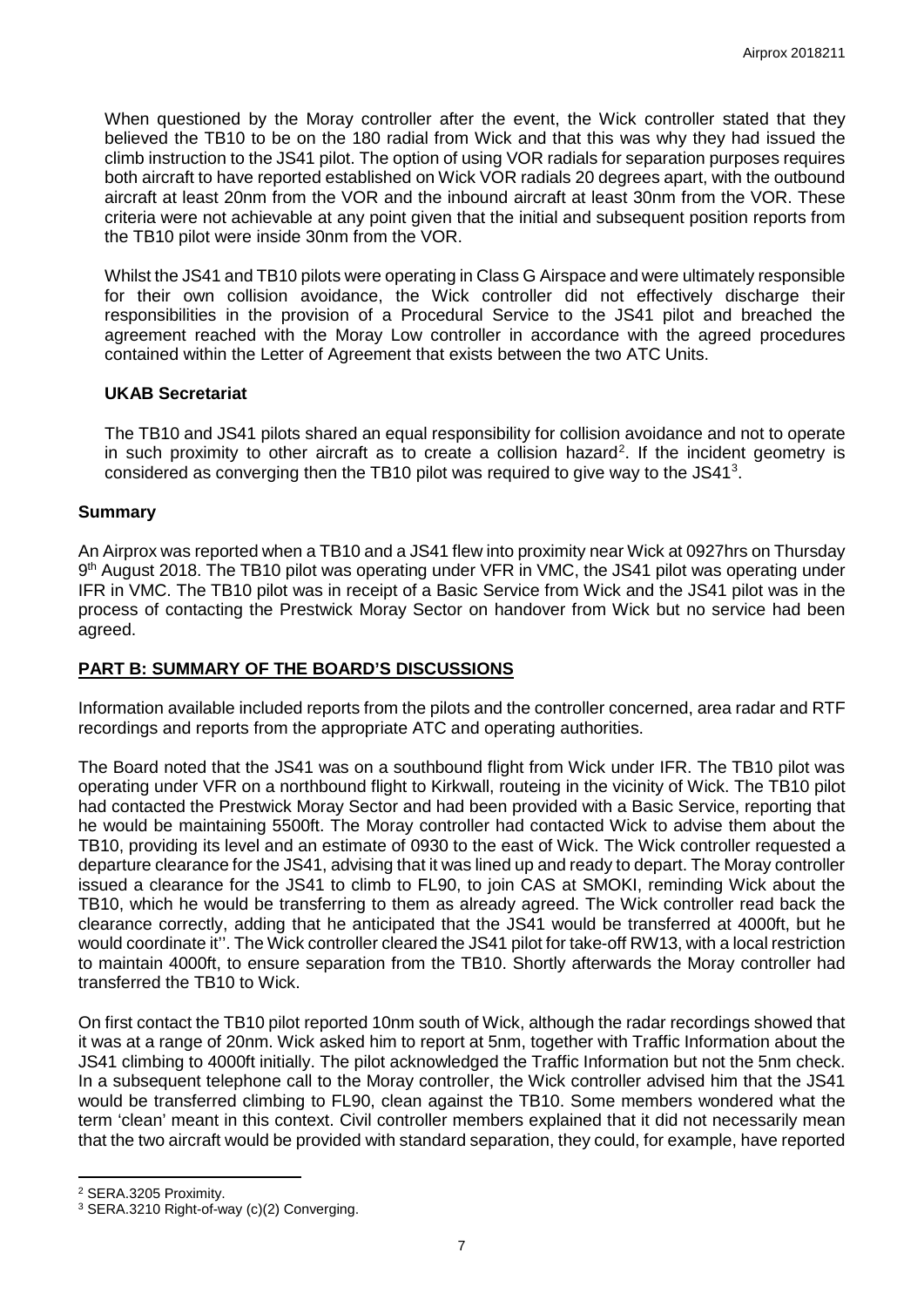When questioned by the Moray controller after the event, the Wick controller stated that they believed the TB10 to be on the 180 radial from Wick and that this was why they had issued the climb instruction to the JS41 pilot. The option of using VOR radials for separation purposes requires both aircraft to have reported established on Wick VOR radials 20 degrees apart, with the outbound aircraft at least 20nm from the VOR and the inbound aircraft at least 30nm from the VOR. These criteria were not achievable at any point given that the initial and subsequent position reports from the TB10 pilot were inside 30nm from the VOR.

Whilst the JS41 and TB10 pilots were operating in Class G Airspace and were ultimately responsible for their own collision avoidance, the Wick controller did not effectively discharge their responsibilities in the provision of a Procedural Service to the JS41 pilot and breached the agreement reached with the Moray Low controller in accordance with the agreed procedures contained within the Letter of Agreement that exists between the two ATC Units.

## **UKAB Secretariat**

The TB10 and JS41 pilots shared an equal responsibility for collision avoidance and not to operate in such proximity to other aircraft as to create a collision hazard<sup>[2](#page-6-0)</sup>. If the incident geometry is considered as converging then the TB10 pilot was required to give way to the JS41<sup>[3](#page-6-1)</sup>.

## **Summary**

An Airprox was reported when a TB10 and a JS41 flew into proximity near Wick at 0927hrs on Thursday 9<sup>th</sup> August 2018. The TB10 pilot was operating under VFR in VMC, the JS41 pilot was operating under IFR in VMC. The TB10 pilot was in receipt of a Basic Service from Wick and the JS41 pilot was in the process of contacting the Prestwick Moray Sector on handover from Wick but no service had been agreed.

# **PART B: SUMMARY OF THE BOARD'S DISCUSSIONS**

Information available included reports from the pilots and the controller concerned, area radar and RTF recordings and reports from the appropriate ATC and operating authorities.

The Board noted that the JS41 was on a southbound flight from Wick under IFR. The TB10 pilot was operating under VFR on a northbound flight to Kirkwall, routeing in the vicinity of Wick. The TB10 pilot had contacted the Prestwick Moray Sector and had been provided with a Basic Service, reporting that he would be maintaining 5500ft. The Moray controller had contacted Wick to advise them about the TB10, providing its level and an estimate of 0930 to the east of Wick. The Wick controller requested a departure clearance for the JS41, advising that it was lined up and ready to depart. The Moray controller issued a clearance for the JS41 to climb to FL90, to join CAS at SMOKI, reminding Wick about the TB10, which he would be transferring to them as already agreed. The Wick controller read back the clearance correctly, adding that he anticipated that the JS41 would be transferred at 4000ft, but he would coordinate it''. The Wick controller cleared the JS41 pilot for take-off RW13, with a local restriction to maintain 4000ft, to ensure separation from the TB10. Shortly afterwards the Moray controller had transferred the TB10 to Wick.

On first contact the TB10 pilot reported 10nm south of Wick, although the radar recordings showed that it was at a range of 20nm. Wick asked him to report at 5nm, together with Traffic Information about the JS41 climbing to 4000ft initially. The pilot acknowledged the Traffic Information but not the 5nm check. In a subsequent telephone call to the Moray controller, the Wick controller advised him that the JS41 would be transferred climbing to FL90, clean against the TB10. Some members wondered what the term 'clean' meant in this context. Civil controller members explained that it did not necessarily mean that the two aircraft would be provided with standard separation, they could, for example, have reported

l

<span id="page-6-0"></span><sup>2</sup> SERA.3205 Proximity.

<span id="page-6-1"></span><sup>3</sup> SERA.3210 Right-of-way (c)(2) Converging.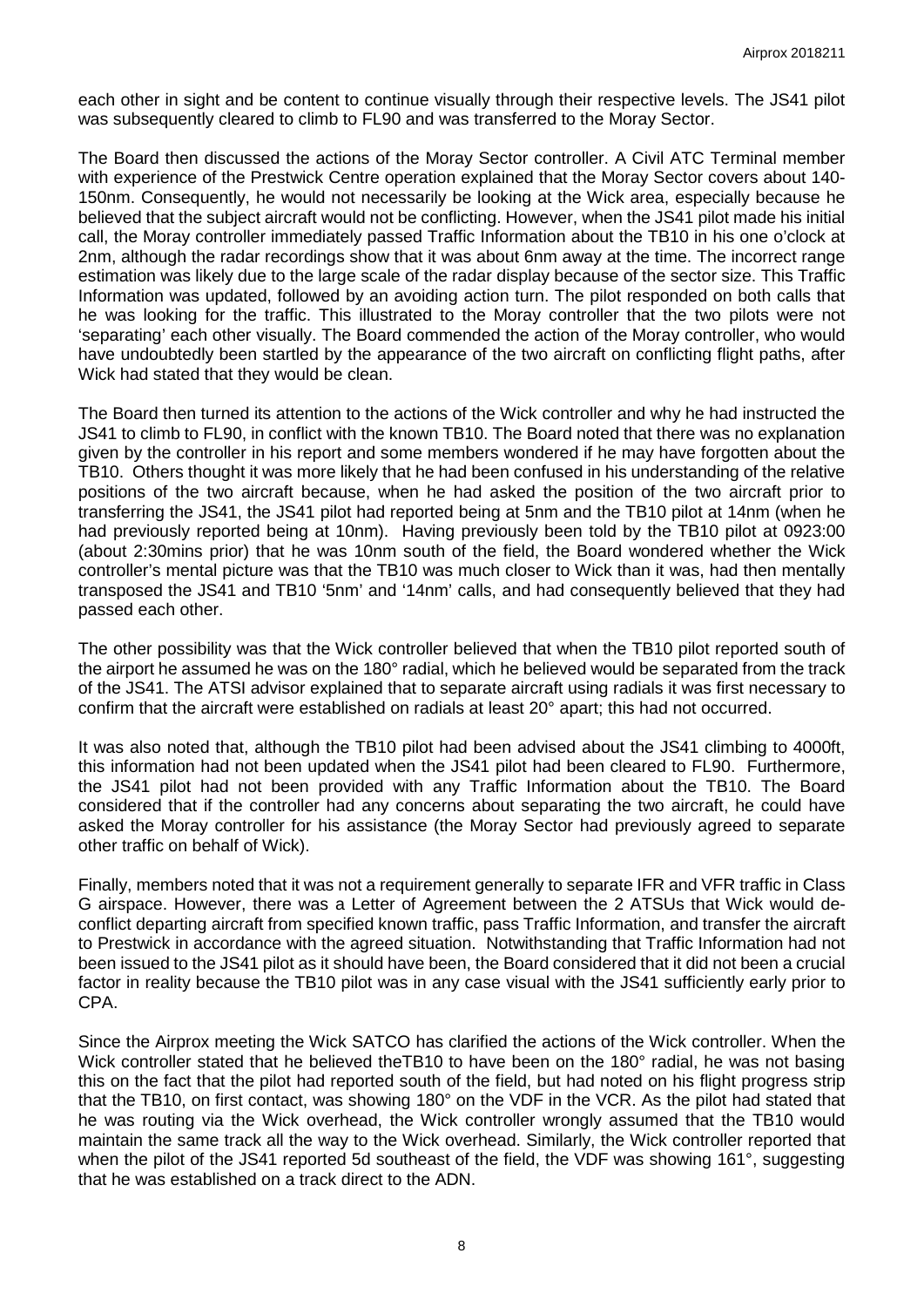each other in sight and be content to continue visually through their respective levels. The JS41 pilot was subsequently cleared to climb to FL90 and was transferred to the Moray Sector.

The Board then discussed the actions of the Moray Sector controller. A Civil ATC Terminal member with experience of the Prestwick Centre operation explained that the Moray Sector covers about 140- 150nm. Consequently, he would not necessarily be looking at the Wick area, especially because he believed that the subject aircraft would not be conflicting. However, when the JS41 pilot made his initial call, the Moray controller immediately passed Traffic Information about the TB10 in his one o'clock at 2nm, although the radar recordings show that it was about 6nm away at the time. The incorrect range estimation was likely due to the large scale of the radar display because of the sector size. This Traffic Information was updated, followed by an avoiding action turn. The pilot responded on both calls that he was looking for the traffic. This illustrated to the Moray controller that the two pilots were not 'separating' each other visually. The Board commended the action of the Moray controller, who would have undoubtedly been startled by the appearance of the two aircraft on conflicting flight paths, after Wick had stated that they would be clean.

The Board then turned its attention to the actions of the Wick controller and why he had instructed the JS41 to climb to FL90, in conflict with the known TB10. The Board noted that there was no explanation given by the controller in his report and some members wondered if he may have forgotten about the TB10. Others thought it was more likely that he had been confused in his understanding of the relative positions of the two aircraft because, when he had asked the position of the two aircraft prior to transferring the JS41, the JS41 pilot had reported being at 5nm and the TB10 pilot at 14nm (when he had previously reported being at 10nm). Having previously been told by the TB10 pilot at 0923:00 (about 2:30mins prior) that he was 10nm south of the field, the Board wondered whether the Wick controller's mental picture was that the TB10 was much closer to Wick than it was, had then mentally transposed the JS41 and TB10 '5nm' and '14nm' calls, and had consequently believed that they had passed each other.

The other possibility was that the Wick controller believed that when the TB10 pilot reported south of the airport he assumed he was on the 180° radial, which he believed would be separated from the track of the JS41. The ATSI advisor explained that to separate aircraft using radials it was first necessary to confirm that the aircraft were established on radials at least 20° apart; this had not occurred.

It was also noted that, although the TB10 pilot had been advised about the JS41 climbing to 4000ft, this information had not been updated when the JS41 pilot had been cleared to FL90. Furthermore, the JS41 pilot had not been provided with any Traffic Information about the TB10. The Board considered that if the controller had any concerns about separating the two aircraft, he could have asked the Moray controller for his assistance (the Moray Sector had previously agreed to separate other traffic on behalf of Wick).

Finally, members noted that it was not a requirement generally to separate IFR and VFR traffic in Class G airspace. However, there was a Letter of Agreement between the 2 ATSUs that Wick would deconflict departing aircraft from specified known traffic, pass Traffic Information, and transfer the aircraft to Prestwick in accordance with the agreed situation. Notwithstanding that Traffic Information had not been issued to the JS41 pilot as it should have been, the Board considered that it did not been a crucial factor in reality because the TB10 pilot was in any case visual with the JS41 sufficiently early prior to CPA.

Since the Airprox meeting the Wick SATCO has clarified the actions of the Wick controller. When the Wick controller stated that he believed theTB10 to have been on the 180° radial, he was not basing this on the fact that the pilot had reported south of the field, but had noted on his flight progress strip that the TB10, on first contact, was showing 180° on the VDF in the VCR. As the pilot had stated that he was routing via the Wick overhead, the Wick controller wrongly assumed that the TB10 would maintain the same track all the way to the Wick overhead. Similarly, the Wick controller reported that when the pilot of the JS41 reported 5d southeast of the field, the VDF was showing 161<sup>°</sup>, suggesting that he was established on a track direct to the ADN.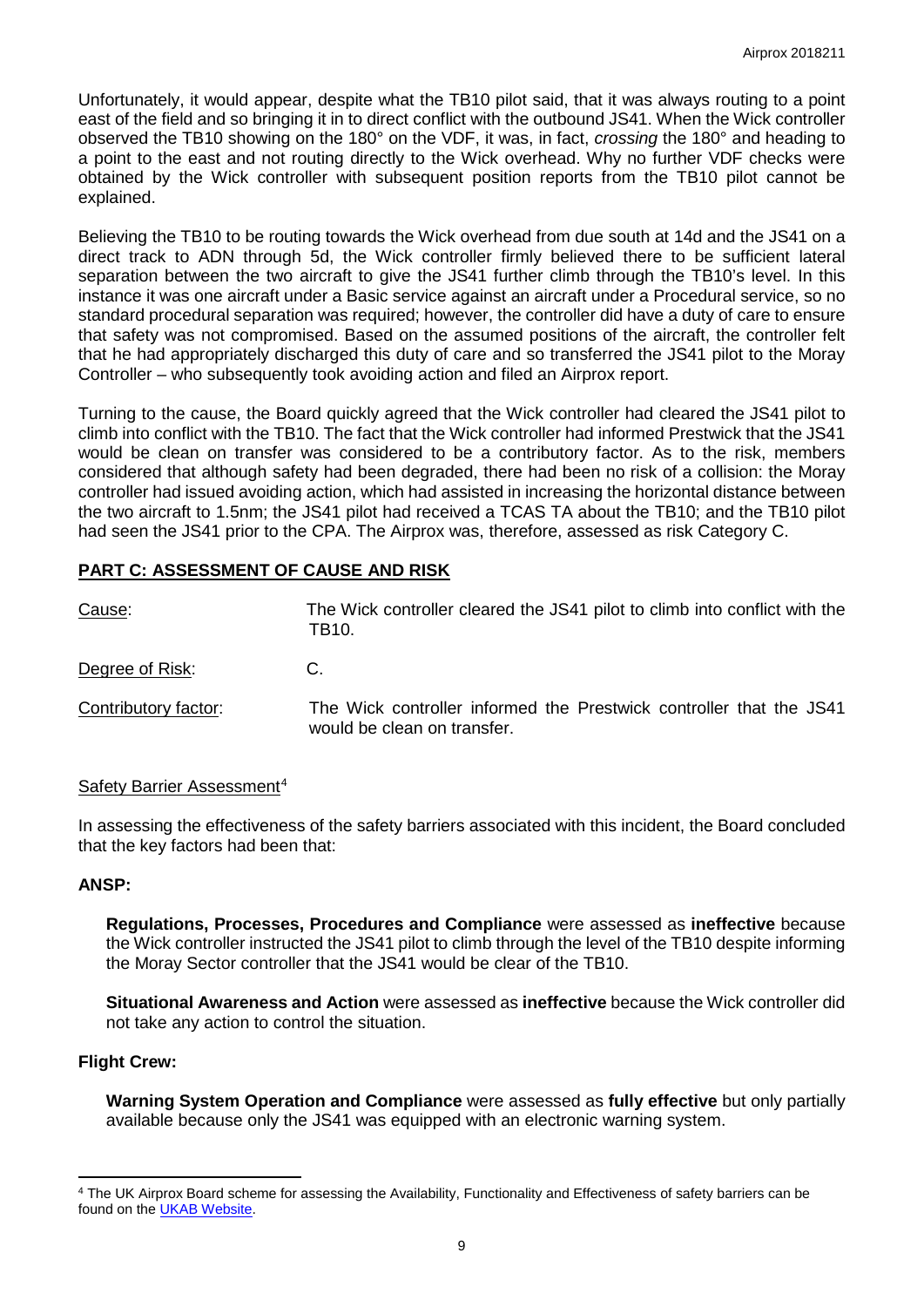Unfortunately, it would appear, despite what the TB10 pilot said, that it was always routing to a point east of the field and so bringing it in to direct conflict with the outbound JS41. When the Wick controller observed the TB10 showing on the 180° on the VDF, it was, in fact, *crossing* the 180° and heading to a point to the east and not routing directly to the Wick overhead. Why no further VDF checks were obtained by the Wick controller with subsequent position reports from the TB10 pilot cannot be explained.

Believing the TB10 to be routing towards the Wick overhead from due south at 14d and the JS41 on a direct track to ADN through 5d, the Wick controller firmly believed there to be sufficient lateral separation between the two aircraft to give the JS41 further climb through the TB10's level. In this instance it was one aircraft under a Basic service against an aircraft under a Procedural service, so no standard procedural separation was required; however, the controller did have a duty of care to ensure that safety was not compromised. Based on the assumed positions of the aircraft, the controller felt that he had appropriately discharged this duty of care and so transferred the JS41 pilot to the Moray Controller – who subsequently took avoiding action and filed an Airprox report.

Turning to the cause, the Board quickly agreed that the Wick controller had cleared the JS41 pilot to climb into conflict with the TB10. The fact that the Wick controller had informed Prestwick that the JS41 would be clean on transfer was considered to be a contributory factor. As to the risk, members considered that although safety had been degraded, there had been no risk of a collision: the Moray controller had issued avoiding action, which had assisted in increasing the horizontal distance between the two aircraft to 1.5nm; the JS41 pilot had received a TCAS TA about the TB10; and the TB10 pilot had seen the JS41 prior to the CPA. The Airprox was, therefore, assessed as risk Category C.

# **PART C: ASSESSMENT OF CAUSE AND RISK**

| Cause:               | The Wick controller cleared the JS41 pilot to climb into conflict with the<br>TB10.                |
|----------------------|----------------------------------------------------------------------------------------------------|
| Degree of Risk:      | C.                                                                                                 |
| Contributory factor: | The Wick controller informed the Prestwick controller that the JS41<br>would be clean on transfer. |

## Safety Barrier Assessment<sup>[4](#page-8-0)</sup>

In assessing the effectiveness of the safety barriers associated with this incident, the Board concluded that the key factors had been that:

### **ANSP:**

**Regulations, Processes, Procedures and Compliance** were assessed as **ineffective** because the Wick controller instructed the JS41 pilot to climb through the level of the TB10 despite informing the Moray Sector controller that the JS41 would be clear of the TB10.

**Situational Awareness and Action** were assessed as **ineffective** because the Wick controller did not take any action to control the situation.

## **Flight Crew:**

l

**Warning System Operation and Compliance** were assessed as **fully effective** but only partially available because only the JS41 was equipped with an electronic warning system.

<span id="page-8-0"></span><sup>4</sup> The UK Airprox Board scheme for assessing the Availability, Functionality and Effectiveness of safety barriers can be found on the **UKAB Website**.